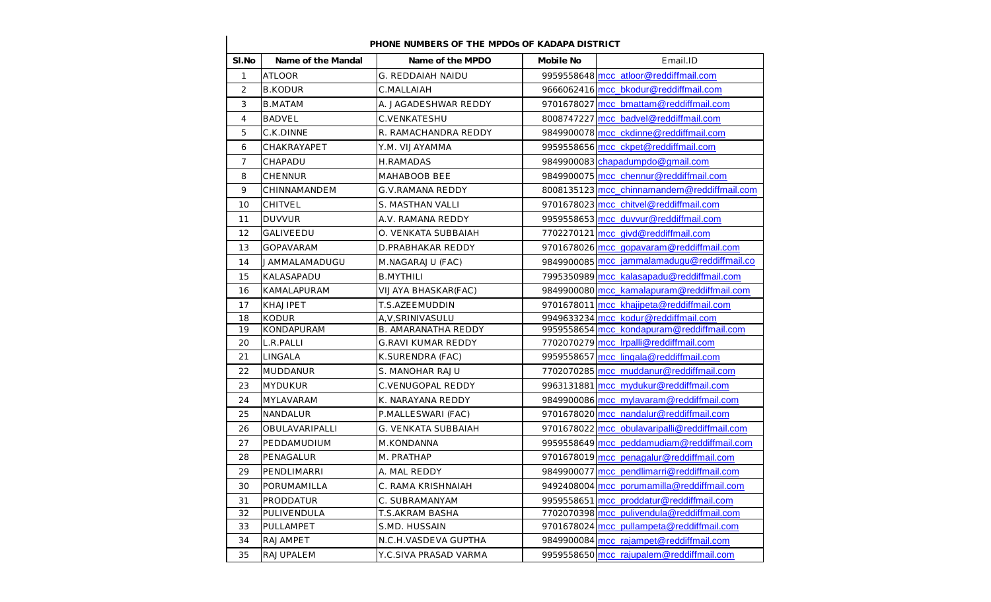| SI.No          | Name of the Mandal | Name of the MPDO           | Mobile No | Email.ID                                      |
|----------------|--------------------|----------------------------|-----------|-----------------------------------------------|
| $\mathbf{1}$   | <b>ATLOOR</b>      | G. REDDAIAH NAIDU          |           | 9959558648 mcc_atloor@reddiffmail.com         |
| $\overline{2}$ | <b>B.KODUR</b>     | C.MALLAIAH                 |           | 9666062416 mcc bkodur@reddiffmail.com         |
| 3              | <b>B.MATAM</b>     | A. JAGADESHWAR REDDY       |           | 9701678027 mcc_bmattam@reddiffmail.com        |
| $\overline{4}$ | <b>BADVEL</b>      | C.VENKATESHU               |           | 8008747227 mcc_badvel@reddiffmail.com         |
| 5              | C.K.DINNE          | R. RAMACHANDRA REDDY       |           | 9849900078 mcc_ckdinne@reddiffmail.com        |
| 6              | CHAKRAYAPET        | Y.M. VIJAYAMMA             |           | 9959558656 mcc_ckpet@reddiffmail.com          |
| $\overline{7}$ | CHAPADU            | <b>H.RAMADAS</b>           |           | 9849900083 chapadumpdo@gmail.com              |
| 8              | <b>CHENNUR</b>     | MAHABOOB BEE               |           | 9849900075 mcc_chennur@reddiffmail.com        |
| 9              | CHINNAMANDEM       | G.V.RAMANA REDDY           |           | 8008135123 mcc chinnamandem@reddiffmail.com   |
| 10             | CHITVEL            | S. MASTHAN VALLI           |           | 9701678023 mcc_chitvel@reddiffmail.com        |
| 11             | <b>DUVVUR</b>      | A.V. RAMANA REDDY          |           | 9959558653 mcc duvvur@reddiffmail.com         |
| 12             | <b>GALIVEEDU</b>   | O. VENKATA SUBBAIAH        |           | 7702270121 mcc_givd@reddiffmail.com           |
| 13             | <b>GOPAVARAM</b>   | D.PRABHAKAR REDDY          |           | 9701678026 mcc gopavaram@reddiffmail.com      |
| 14             | JAMMALAMADUGU      | M.NAGARAJU (FAC)           |           | 9849900085 mcc_jammalamadugu@reddiffmail.co   |
| 15             | KALASAPADU         | <b>B.MYTHILI</b>           |           | 7995350989 mcc kalasapadu@reddiffmail.com     |
| 16             | KAMALAPURAM        | VIJAYA BHASKAR(FAC)        |           | 9849900080 mcc kamalapuram@reddiffmail.com    |
| 17             | KHAJIPET           | T.S.AZEEMUDDIN             |           | 9701678011 mcc_khajipeta@reddiffmail.com      |
| 18             | <b>KODUR</b>       | A, V, SRINIVASULU          |           | 9949633234 mcc kodur@reddiffmail.com          |
| 19             | KONDAPURAM         | <b>B. AMARANATHA REDDY</b> |           | 9959558654 mcc_kondapuram@reddiffmail.com     |
| 20             | L.R.PALLI          | <b>G.RAVI KUMAR REDDY</b>  |           | 7702070279 mcc Irpalli@reddiffmail.com        |
| 21             | LINGALA            | K.SURENDRA (FAC)           |           | 9959558657 mcc lingala@reddiffmail.com        |
| 22             | <b>MUDDANUR</b>    | S. MANOHAR RAJU            |           | 7702070285 mcc muddanur@reddiffmail.com       |
| 23             | <b>MYDUKUR</b>     | C.VENUGOPAL REDDY          |           | 9963131881 mcc mydukur@reddiffmail.com        |
| 24             | <b>MYLAVARAM</b>   | K. NARAYANA REDDY          |           | 9849900086 mcc_mylavaram@reddiffmail.com      |
| 25             | NANDALUR           | P.MALLESWARI (FAC)         |           | 9701678020 mcc_nandalur@reddiffmail.com       |
| 26             | OBULAVARIPALLI     | G. VENKATA SUBBAIAH        |           | 9701678022 mcc_obulavaripalli@reddiffmail.com |
| 27             | PEDDAMUDIUM        | M.KONDANNA                 |           | 9959558649 mcc peddamudiam@reddiffmail.com    |
| 28             | PENAGALUR          | M. PRATHAP                 |           | 9701678019 mcc_penagalur@reddiffmail.com      |
| 29             | PENDLIMARRI        | A. MAL REDDY               |           | 9849900077 mcc_pendlimarri@reddiffmail.com    |
| 30             | PORUMAMILLA        | C. RAMA KRISHNAIAH         |           | 9492408004 mcc_porumamilla@reddiffmail.com    |
| 31             | PRODDATUR          | C. SUBRAMANYAM             |           | 9959558651 mcc_proddatur@reddiffmail.com      |
| 32             | PULIVENDULA        | T.S.AKRAM BASHA            |           | 7702070398 mcc_pulivendula@reddiffmail.com    |
| 33             | PULLAMPET          | S.MD. HUSSAIN              |           | 9701678024 mcc_pullampeta@reddiffmail.com     |
| 34             | RAJAMPET           | N.C.H.VASDEVA GUPTHA       |           | 9849900084 mcc_rajampet@reddiffmail.com       |
| 35             | RAJUPALEM          | Y.C.SIVA PRASAD VARMA      |           | 9959558650 mcc_rajupalem@reddiffmail.com      |

## **PHONE NUMBERS OF THE MPDOs OF KADAPA DISTRICT**